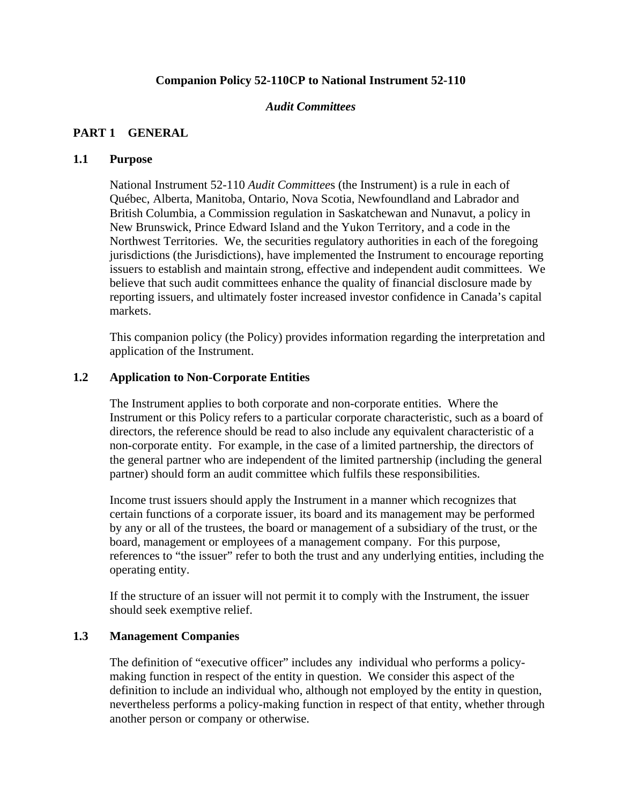# **Companion Policy 52-110CP to National Instrument 52-110**

### *Audit Committees*

## **PART 1 GENERAL**

#### **1.1 Purpose**

National Instrument 52-110 *Audit Committee*s (the Instrument) is a rule in each of Québec, Alberta, Manitoba, Ontario, Nova Scotia, Newfoundland and Labrador and British Columbia, a Commission regulation in Saskatchewan and Nunavut, a policy in New Brunswick, Prince Edward Island and the Yukon Territory, and a code in the Northwest Territories. We, the securities regulatory authorities in each of the foregoing jurisdictions (the Jurisdictions), have implemented the Instrument to encourage reporting issuers to establish and maintain strong, effective and independent audit committees. We believe that such audit committees enhance the quality of financial disclosure made by reporting issuers, and ultimately foster increased investor confidence in Canada's capital markets.

This companion policy (the Policy) provides information regarding the interpretation and application of the Instrument.

#### **1.2 Application to Non-Corporate Entities**

The Instrument applies to both corporate and non-corporate entities. Where the Instrument or this Policy refers to a particular corporate characteristic, such as a board of directors, the reference should be read to also include any equivalent characteristic of a non-corporate entity. For example, in the case of a limited partnership, the directors of the general partner who are independent of the limited partnership (including the general partner) should form an audit committee which fulfils these responsibilities.

Income trust issuers should apply the Instrument in a manner which recognizes that certain functions of a corporate issuer, its board and its management may be performed by any or all of the trustees, the board or management of a subsidiary of the trust, or the board, management or employees of a management company. For this purpose, references to "the issuer" refer to both the trust and any underlying entities, including the operating entity.

If the structure of an issuer will not permit it to comply with the Instrument, the issuer should seek exemptive relief.

### **1.3 Management Companies**

The definition of "executive officer" includes any individual who performs a policymaking function in respect of the entity in question. We consider this aspect of the definition to include an individual who, although not employed by the entity in question, nevertheless performs a policy-making function in respect of that entity, whether through another person or company or otherwise.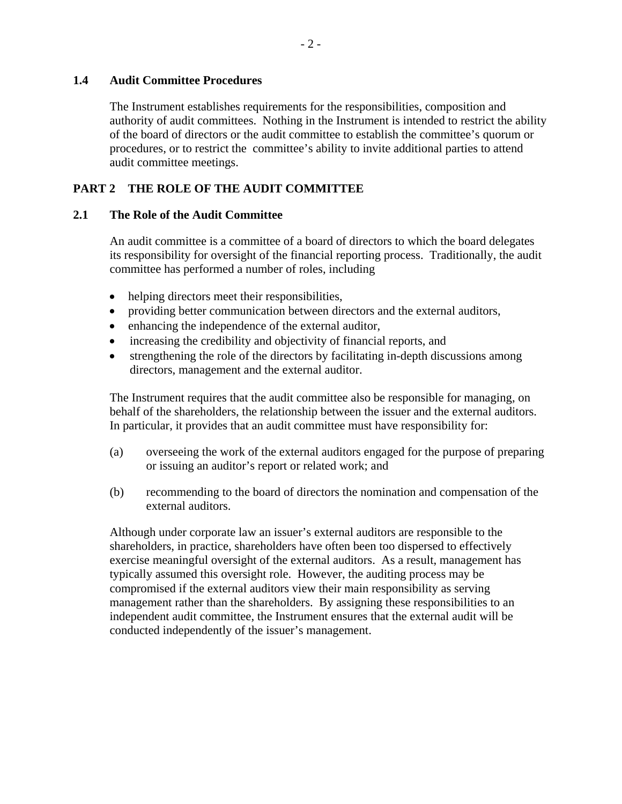## **1.4 Audit Committee Procedures**

The Instrument establishes requirements for the responsibilities, composition and authority of audit committees. Nothing in the Instrument is intended to restrict the ability of the board of directors or the audit committee to establish the committee's quorum or procedures, or to restrict the committee's ability to invite additional parties to attend audit committee meetings.

## **PART 2 THE ROLE OF THE AUDIT COMMITTEE**

## **2.1 The Role of the Audit Committee**

An audit committee is a committee of a board of directors to which the board delegates its responsibility for oversight of the financial reporting process. Traditionally, the audit committee has performed a number of roles, including

- helping directors meet their responsibilities,
- providing better communication between directors and the external auditors,
- enhancing the independence of the external auditor,
- increasing the credibility and objectivity of financial reports, and
- strengthening the role of the directors by facilitating in-depth discussions among directors, management and the external auditor.

The Instrument requires that the audit committee also be responsible for managing, on behalf of the shareholders, the relationship between the issuer and the external auditors. In particular, it provides that an audit committee must have responsibility for:

- (a) overseeing the work of the external auditors engaged for the purpose of preparing or issuing an auditor's report or related work; and
- (b) recommending to the board of directors the nomination and compensation of the external auditors.

Although under corporate law an issuer's external auditors are responsible to the shareholders, in practice, shareholders have often been too dispersed to effectively exercise meaningful oversight of the external auditors. As a result, management has typically assumed this oversight role. However, the auditing process may be compromised if the external auditors view their main responsibility as serving management rather than the shareholders. By assigning these responsibilities to an independent audit committee, the Instrument ensures that the external audit will be conducted independently of the issuer's management.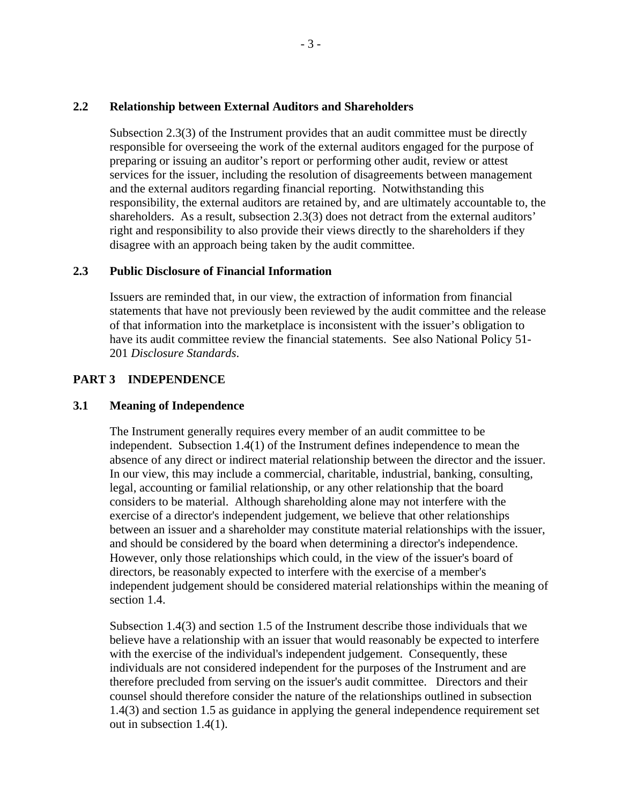### **2.2 Relationship between External Auditors and Shareholders**

Subsection 2.3(3) of the Instrument provides that an audit committee must be directly responsible for overseeing the work of the external auditors engaged for the purpose of preparing or issuing an auditor's report or performing other audit, review or attest services for the issuer, including the resolution of disagreements between management and the external auditors regarding financial reporting. Notwithstanding this responsibility, the external auditors are retained by, and are ultimately accountable to, the shareholders. As a result, subsection 2.3(3) does not detract from the external auditors' right and responsibility to also provide their views directly to the shareholders if they disagree with an approach being taken by the audit committee.

### **2.3 Public Disclosure of Financial Information**

Issuers are reminded that, in our view, the extraction of information from financial statements that have not previously been reviewed by the audit committee and the release of that information into the marketplace is inconsistent with the issuer's obligation to have its audit committee review the financial statements. See also National Policy 51- 201 *Disclosure Standards*.

# **PART 3 INDEPENDENCE**

#### **3.1 Meaning of Independence**

The Instrument generally requires every member of an audit committee to be independent. Subsection 1.4(1) of the Instrument defines independence to mean the absence of any direct or indirect material relationship between the director and the issuer. In our view, this may include a commercial, charitable, industrial, banking, consulting, legal, accounting or familial relationship, or any other relationship that the board considers to be material. Although shareholding alone may not interfere with the exercise of a director's independent judgement, we believe that other relationships between an issuer and a shareholder may constitute material relationships with the issuer, and should be considered by the board when determining a director's independence. However, only those relationships which could, in the view of the issuer's board of directors, be reasonably expected to interfere with the exercise of a member's independent judgement should be considered material relationships within the meaning of section 1.4.

Subsection 1.4(3) and section 1.5 of the Instrument describe those individuals that we believe have a relationship with an issuer that would reasonably be expected to interfere with the exercise of the individual's independent judgement. Consequently, these individuals are not considered independent for the purposes of the Instrument and are therefore precluded from serving on the issuer's audit committee. Directors and their counsel should therefore consider the nature of the relationships outlined in subsection 1.4(3) and section 1.5 as guidance in applying the general independence requirement set out in subsection 1.4(1).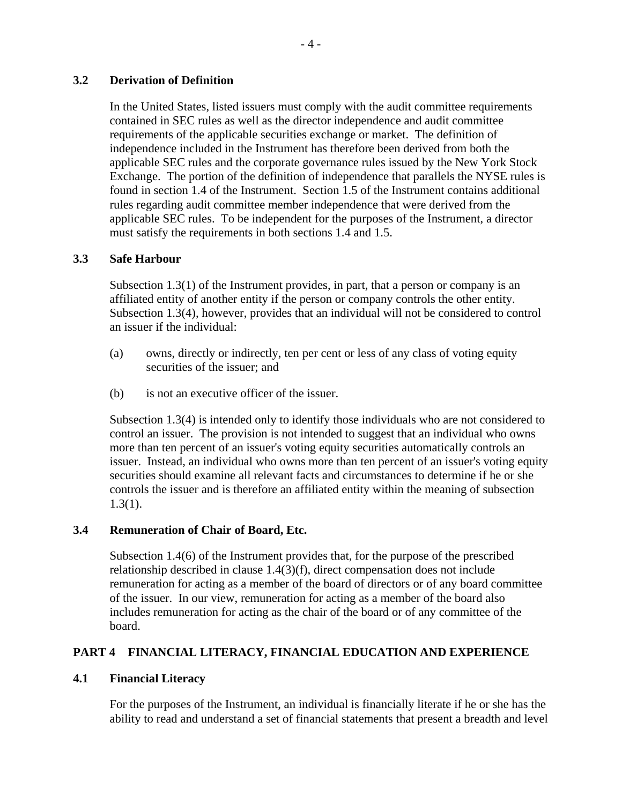# **3.2 Derivation of Definition**

In the United States, listed issuers must comply with the audit committee requirements contained in SEC rules as well as the director independence and audit committee requirements of the applicable securities exchange or market. The definition of independence included in the Instrument has therefore been derived from both the applicable SEC rules and the corporate governance rules issued by the New York Stock Exchange. The portion of the definition of independence that parallels the NYSE rules is found in section 1.4 of the Instrument. Section 1.5 of the Instrument contains additional rules regarding audit committee member independence that were derived from the applicable SEC rules. To be independent for the purposes of the Instrument, a director must satisfy the requirements in both sections 1.4 and 1.5.

# **3.3 Safe Harbour**

Subsection 1.3(1) of the Instrument provides, in part, that a person or company is an affiliated entity of another entity if the person or company controls the other entity. Subsection 1.3(4), however, provides that an individual will not be considered to control an issuer if the individual:

- (a) owns, directly or indirectly, ten per cent or less of any class of voting equity securities of the issuer; and
- (b) is not an executive officer of the issuer.

Subsection 1.3(4) is intended only to identify those individuals who are not considered to control an issuer. The provision is not intended to suggest that an individual who owns more than ten percent of an issuer's voting equity securities automatically controls an issuer. Instead, an individual who owns more than ten percent of an issuer's voting equity securities should examine all relevant facts and circumstances to determine if he or she controls the issuer and is therefore an affiliated entity within the meaning of subsection 1.3(1).

## **3.4 Remuneration of Chair of Board, Etc.**

Subsection 1.4(6) of the Instrument provides that, for the purpose of the prescribed relationship described in clause 1.4(3)(f), direct compensation does not include remuneration for acting as a member of the board of directors or of any board committee of the issuer. In our view, remuneration for acting as a member of the board also includes remuneration for acting as the chair of the board or of any committee of the board.

# **PART 4 FINANCIAL LITERACY, FINANCIAL EDUCATION AND EXPERIENCE**

## **4.1 Financial Literacy**

For the purposes of the Instrument, an individual is financially literate if he or she has the ability to read and understand a set of financial statements that present a breadth and level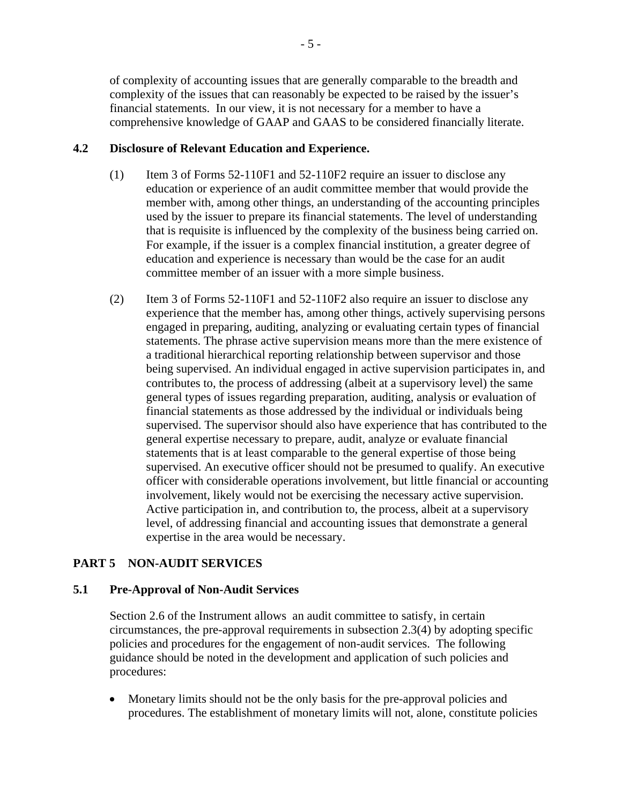of complexity of accounting issues that are generally comparable to the breadth and complexity of the issues that can reasonably be expected to be raised by the issuer's financial statements. In our view, it is not necessary for a member to have a comprehensive knowledge of GAAP and GAAS to be considered financially literate.

# **4.2 Disclosure of Relevant Education and Experience.**

- (1) Item 3 of Forms 52-110F1 and 52-110F2 require an issuer to disclose any education or experience of an audit committee member that would provide the member with, among other things, an understanding of the accounting principles used by the issuer to prepare its financial statements. The level of understanding that is requisite is influenced by the complexity of the business being carried on. For example, if the issuer is a complex financial institution, a greater degree of education and experience is necessary than would be the case for an audit committee member of an issuer with a more simple business.
- (2) Item 3 of Forms 52-110F1 and 52-110F2 also require an issuer to disclose any experience that the member has, among other things, actively supervising persons engaged in preparing, auditing, analyzing or evaluating certain types of financial statements. The phrase active supervision means more than the mere existence of a traditional hierarchical reporting relationship between supervisor and those being supervised. An individual engaged in active supervision participates in, and contributes to, the process of addressing (albeit at a supervisory level) the same general types of issues regarding preparation, auditing, analysis or evaluation of financial statements as those addressed by the individual or individuals being supervised. The supervisor should also have experience that has contributed to the general expertise necessary to prepare, audit, analyze or evaluate financial statements that is at least comparable to the general expertise of those being supervised. An executive officer should not be presumed to qualify. An executive officer with considerable operations involvement, but little financial or accounting involvement, likely would not be exercising the necessary active supervision. Active participation in, and contribution to, the process, albeit at a supervisory level, of addressing financial and accounting issues that demonstrate a general expertise in the area would be necessary.

# **PART 5 NON-AUDIT SERVICES**

## **5.1 Pre-Approval of Non-Audit Services**

Section 2.6 of the Instrument allows an audit committee to satisfy, in certain circumstances, the pre-approval requirements in subsection 2.3(4) by adopting specific policies and procedures for the engagement of non-audit services. The following guidance should be noted in the development and application of such policies and procedures:

• Monetary limits should not be the only basis for the pre-approval policies and procedures. The establishment of monetary limits will not, alone, constitute policies